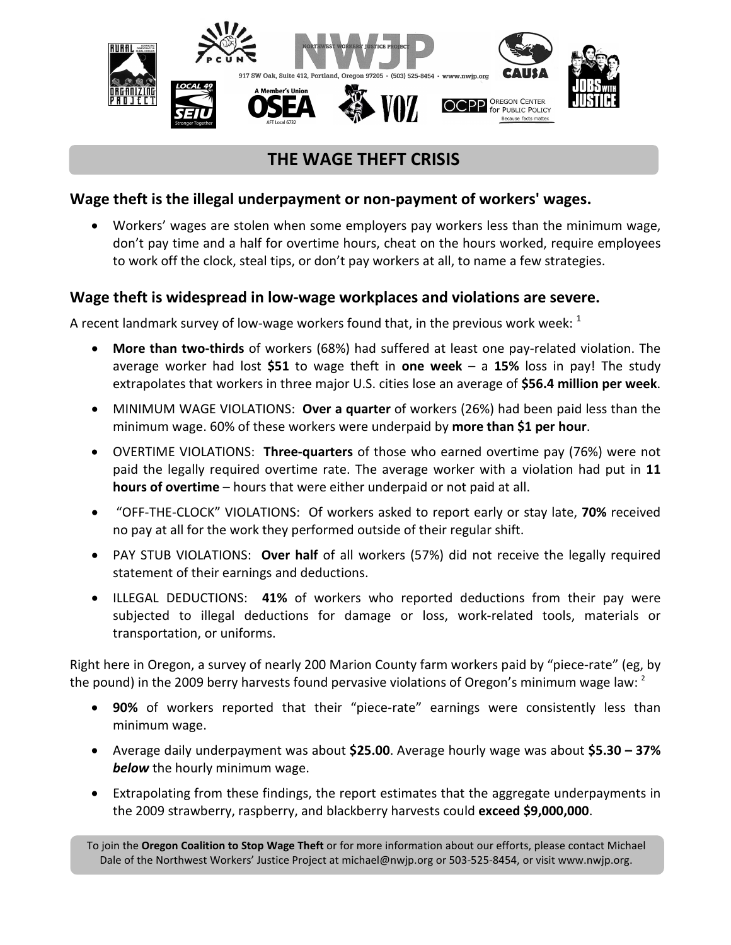

# **THE WAGE THEFT CRISIS**

## **Wage theft is the illegal underpayment or non-payment of workers' wages.**

• Workers' wages are stolen when some employers pay workers less than the minimum wage, don't pay time and a half for overtime hours, cheat on the hours worked, require employees to work off the clock, steal tips, or don't pay workers at all, to name a few strategies.

#### **Wage theft is widespread in low-wage workplaces and violations are severe.**

A recent landmark survey of low-wage workers found that, in the previous work week:  $<sup>1</sup>$ </sup>

- **More than two-thirds** of workers (68%) had suffered at least one pay-related violation. The average worker had lost **\$51** to wage theft in **one week** – a **15%** loss in pay! The study extrapolates that workers in three major U.S. cities lose an average of **\$56.4 million per week**.
- MINIMUM WAGE VIOLATIONS: **Over a quarter** of workers (26%) had been paid less than the minimum wage. 60% of these workers were underpaid by **more than \$1 per hour**.
- OVERTIME VIOLATIONS: **Three-quarters** of those who earned overtime pay (76%) were not paid the legally required overtime rate. The average worker with a violation had put in **11 hours of overtime** – hours that were either underpaid or not paid at all.
- "OFF-THE-CLOCK" VIOLATIONS: Of workers asked to report early or stay late, **70%** received no pay at all for the work they performed outside of their regular shift.
- PAY STUB VIOLATIONS: **Over half** of all workers (57%) did not receive the legally required statement of their earnings and deductions.
- ILLEGAL DEDUCTIONS: **41%** of workers who reported deductions from their pay were subjected to illegal deductions for damage or loss, work-related tools, materials or transportation, or uniforms.

Right here in Oregon, a survey of nearly 200 Marion County farm workers paid by "piece-rate" (eg, by the pound) in the 2009 berry harvests found pervasive violations of Oregon's minimum wage law: <sup>2</sup>

- **90%** of workers reported that their "piece-rate" earnings were consistently less than minimum wage.
- Average daily underpayment was about **\$25.00**. Average hourly wage was about **\$5.30 – 37%**  *below* the hourly minimum wage.
- Extrapolating from these findings, the report estimates that the aggregate underpayments in the 2009 strawberry, raspberry, and blackberry harvests could **exceed \$9,000,000**.

To join the **Oregon Coalition to Stop Wage Theft** or for more information about our efforts, please contact Michael Dale of the Northwest Workers' Justice Project at michael@nwjp.org or 503-525-8454, or visit www.nwjp.org.